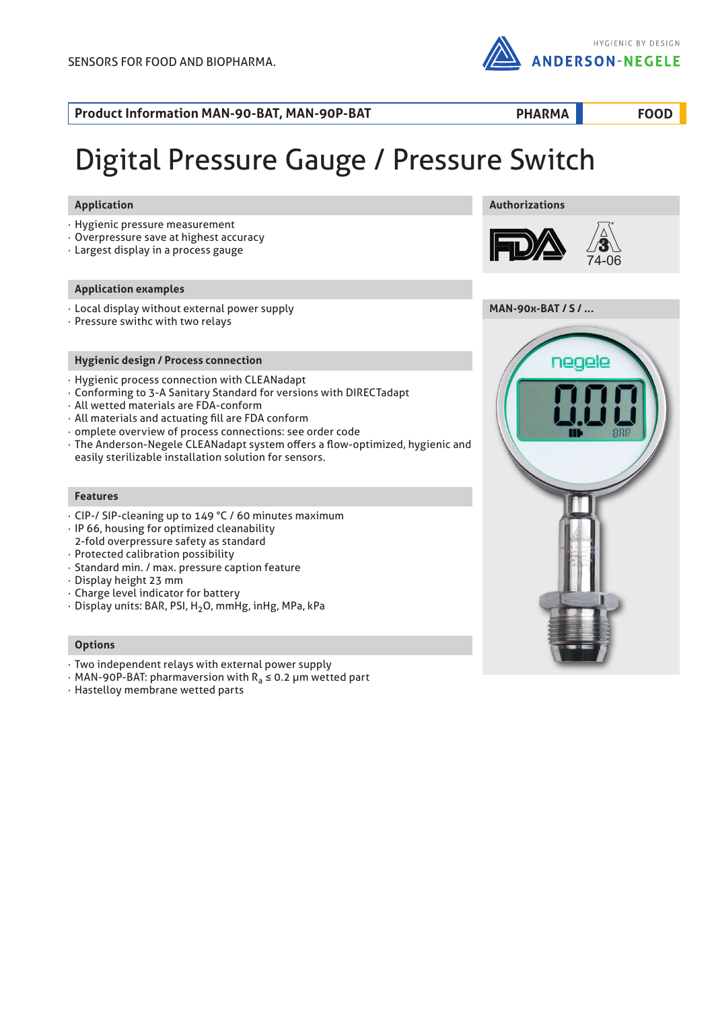

**PHARMA FOOD**

**Product Information MAN-90-BAT, MAN-90P-BAT**

# Digital Pressure Gauge / Pressure Switch

# **Application**

- · Hygienic pressure measurement
- · Overpressure save at highest accuracy
- · Largest display in a process gauge

# **Application examples**

- · Local display without external power supply
- · Pressure swithc with two relays

# **Hygienic design / Process connection**

- · Hygienic process connection with CLEANadapt
- · Conforming to 3-A Sanitary Standard for versions with DIRECTadapt
- · All wetted materials are FDA-conform
- · All materials and actuating fill are FDA conform
- · omplete overview of process connections: see order code
- · The Anderson-Negele CLEANadapt system offers a flow-optimized, hygienic and easily sterilizable installation solution for sensors.

# **Features**

- · CIP-/ SIP-cleaning up to 149 °C / 60 minutes maximum
- · IP 66, housing for optimized cleanability 2-fold overpressure safety as standard
- · Protected calibration possibility
- · Standard min. / max. pressure caption feature
- · Display height 23 mm
- · Charge level indicator for battery
- · Display units: BAR, PSI, H2O, mmHg, inHg, MPa, kPa

# **Options**

- · Two independent relays with external power supply
- $\cdot$  MAN-90P-BAT: pharmaversion with R<sub>a</sub>  $\leq$  0.2 µm wetted part
- · Hastelloy membrane wetted parts







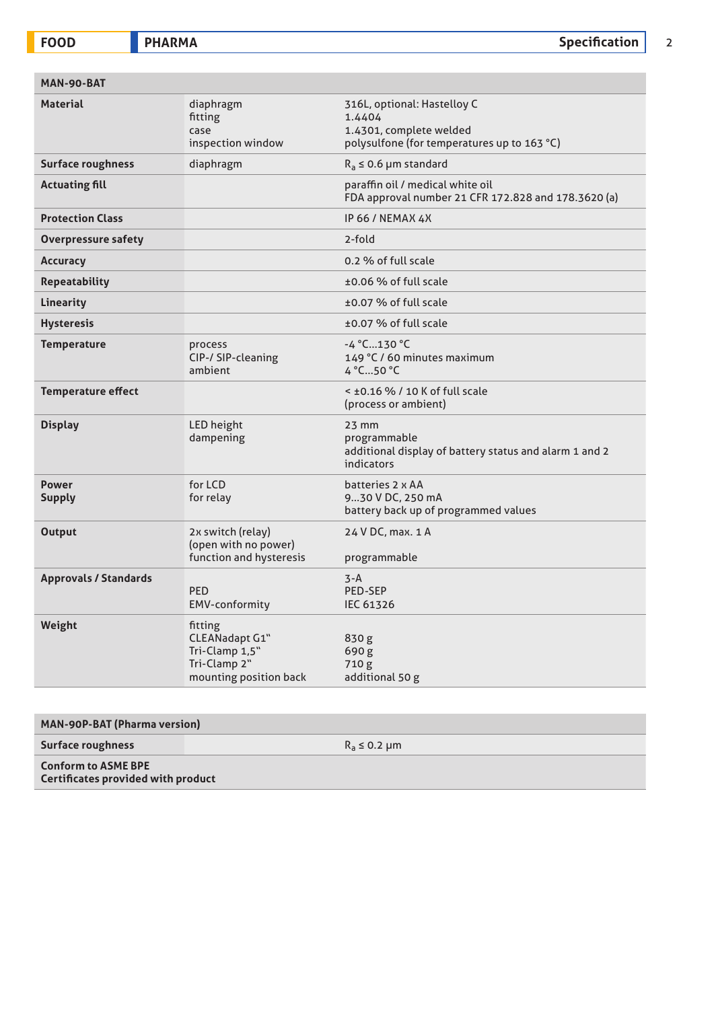**FOODRA BEEF ALSO REPORT ASSESSED ASSOCIATE** A Specification 2

| MAN-90-BAT                    |                                                                                       |                                                                                                                 |
|-------------------------------|---------------------------------------------------------------------------------------|-----------------------------------------------------------------------------------------------------------------|
| <b>Material</b>               | diaphragm<br>fitting<br>case<br>inspection window                                     | 316L, optional: Hastelloy C<br>1.4404<br>1.4301, complete welded<br>polysulfone (for temperatures up to 163 °C) |
| <b>Surface roughness</b>      | diaphragm                                                                             | $R_a \le 0.6$ µm standard                                                                                       |
| <b>Actuating fill</b>         |                                                                                       | paraffin oil / medical white oil<br>FDA approval number 21 CFR 172.828 and 178.3620 (a)                         |
| <b>Protection Class</b>       |                                                                                       | IP 66 / NEMAX 4X                                                                                                |
| <b>Overpressure safety</b>    |                                                                                       | 2-fold                                                                                                          |
| <b>Accuracy</b>               |                                                                                       | 0.2 % of full scale                                                                                             |
| <b>Repeatability</b>          |                                                                                       | ±0.06 % of full scale                                                                                           |
| Linearity                     |                                                                                       | ±0.07 % of full scale                                                                                           |
| <b>Hysteresis</b>             |                                                                                       | ±0.07 % of full scale                                                                                           |
| <b>Temperature</b>            | process<br>CIP-/ SIP-cleaning<br>ambient                                              | $-4 °C$ 130 °C<br>149 °C / 60 minutes maximum<br>$4^{\circ}$ C50 $^{\circ}$ C                                   |
| <b>Temperature effect</b>     |                                                                                       | $<$ ±0.16 % / 10 K of full scale<br>(process or ambient)                                                        |
| <b>Display</b>                | LED height<br>dampening                                                               | $23$ mm<br>programmable<br>additional display of battery status and alarm 1 and 2<br>indicators                 |
| <b>Power</b><br><b>Supply</b> | for LCD<br>for relay                                                                  | batteries 2 x AA<br>930 V DC, 250 mA<br>battery back up of programmed values                                    |
| <b>Output</b>                 | 2x switch (relay)<br>(open with no power)<br>function and hysteresis                  | 24 V DC, max. 1 A<br>programmable                                                                               |
| <b>Approvals / Standards</b>  | <b>PED</b><br>EMV-conformity                                                          | $3 - A$<br><b>PED-SEP</b><br>IEC 61326                                                                          |
| Weight                        | fitting<br>CLEANadapt G1"<br>Tri-Clamp 1,5"<br>Tri-Clamp 2"<br>mounting position back | 830 g<br>690 g<br>710 g<br>additional 50 g                                                                      |

| <b>MAN-90P-BAT (Pharma version)</b>                                     |                   |  |
|-------------------------------------------------------------------------|-------------------|--|
| <b>Surface roughness</b>                                                | $R_a \leq 0.2$ µm |  |
| <b>Conform to ASME BPE</b><br><b>Certificates provided with product</b> |                   |  |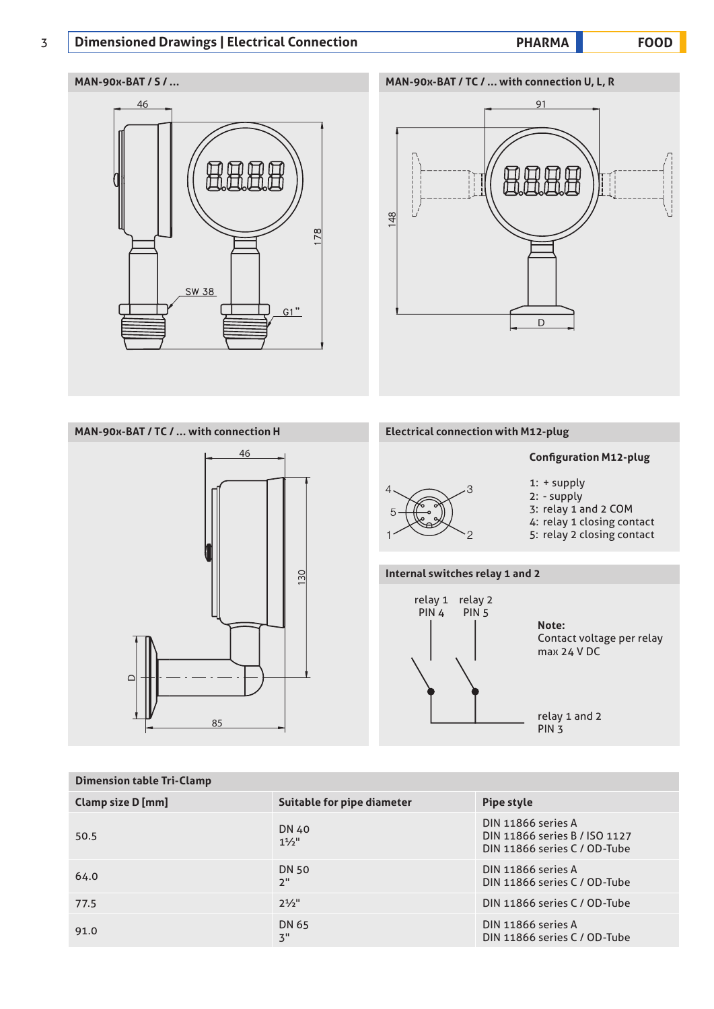# 3 **PHARMA FOOD Dimensioned Drawings | Electrical Connection**

# **MAN-90x-BAT / S / ... MAN-90x-BAT / TC / ... with connection U, L, R**





# **MAN-90x-BAT / TC / ... with connection H**



# **Electrical connection with M12-plug**

# **Configuration M12-plug**



2: - supply 3: relay 1 and 2 COM 4: relay 1 closing contact

1: + supply

5: relay 2 closing contact

# **Internal switches relay 1 and 2**



**Note:** Contact voltage per relay max 24 V DC

relay 1 and 2 PIN 3

| <b>Dimension table Tri-Clamp</b> |                                           |                                                                                     |  |
|----------------------------------|-------------------------------------------|-------------------------------------------------------------------------------------|--|
| Clamp size D [mm]                | Suitable for pipe diameter                | Pipe style                                                                          |  |
| 50.5                             | DN 40<br>1 <sup>1</sup> / 5 <sup>11</sup> | DIN 11866 series A<br>DIN 11866 series B / ISO 1127<br>DIN 11866 series C / OD-Tube |  |
| 64.0                             | <b>DN 50</b><br>2"                        | DIN 11866 series A<br>DIN 11866 series C / OD-Tube                                  |  |
| 77.5                             | $2^{1/2}$                                 | DIN 11866 series C / OD-Tube                                                        |  |
| 91.0                             | DN 65<br>3"                               | DIN 11866 series A<br>DIN 11866 series C / OD-Tube                                  |  |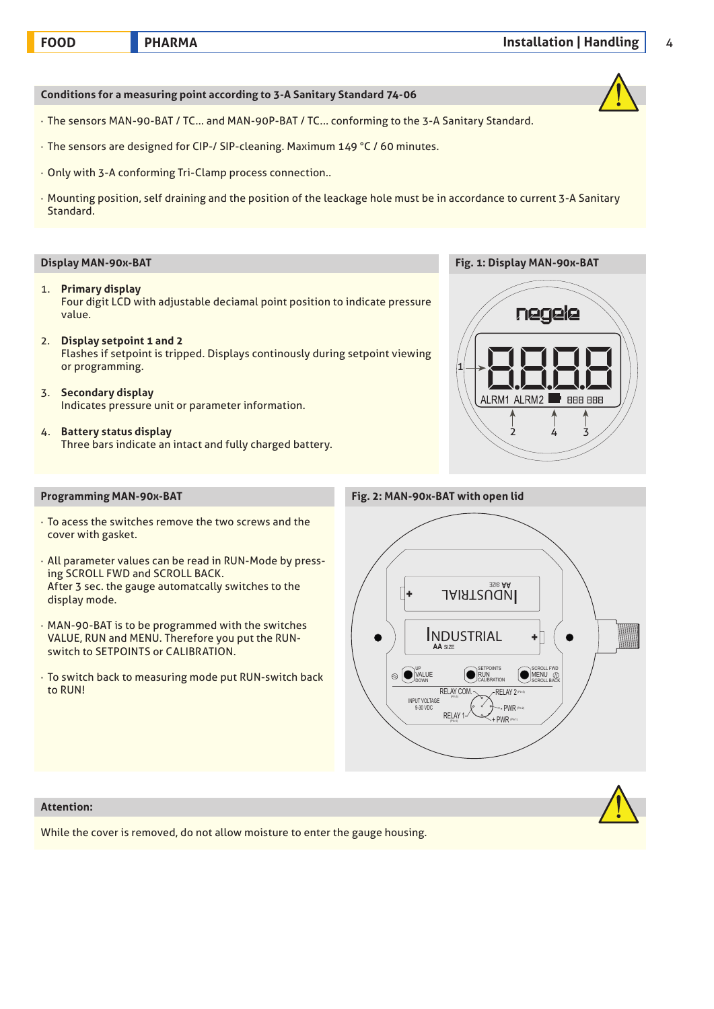**Conditions for a measuring point according to 3-A Sanitary Standard 74-06**

- · The sensors MAN-90-BAT / TC... and MAN-90P-BAT / TC... conforming to the 3-A Sanitary Standard.
- · The sensors are designed for CIP-/ SIP-cleaning. Maximum 149 °C / 60 minutes.
- · Only with 3-A conforming Tri-Clamp process connection..
- · Mounting position, self draining and the position of the leackage hole must be in accordance to current 3-A Sanitary Standard.

- 1. **Primary display** Four digit LCD with adjustable deciamal point position to indicate pressure value.
- 2. **Display setpoint 1 and 2** Flashes if setpoint is tripped. Displays continously during setpoint viewing or programming.
- 3. **Secondary display** Indicates pressure unit or parameter information.
- 4. **Battery status display** Three bars indicate an intact and fully charged battery.



- · To acess the switches remove the two screws and the cover with gasket.
- · All parameter values can be read in RUN-Mode by pressing SCROLL FWD and SCROLL BACK. After 3 sec. the gauge automatcally switches to the display mode.
- · MAN-90-BAT is to be programmed with the switches VALUE, RUN and MENU. Therefore you put the RUNswitch to SETPOINTS or CALIBRATION.
- · To switch back to measuring mode put RUN-switch back to RUN!

### **Programming MAN-90x-BAT Fig. 2: MAN-90x-BAT with open lid**





While the cover is removed, do not allow moisture to enter the gauge housing.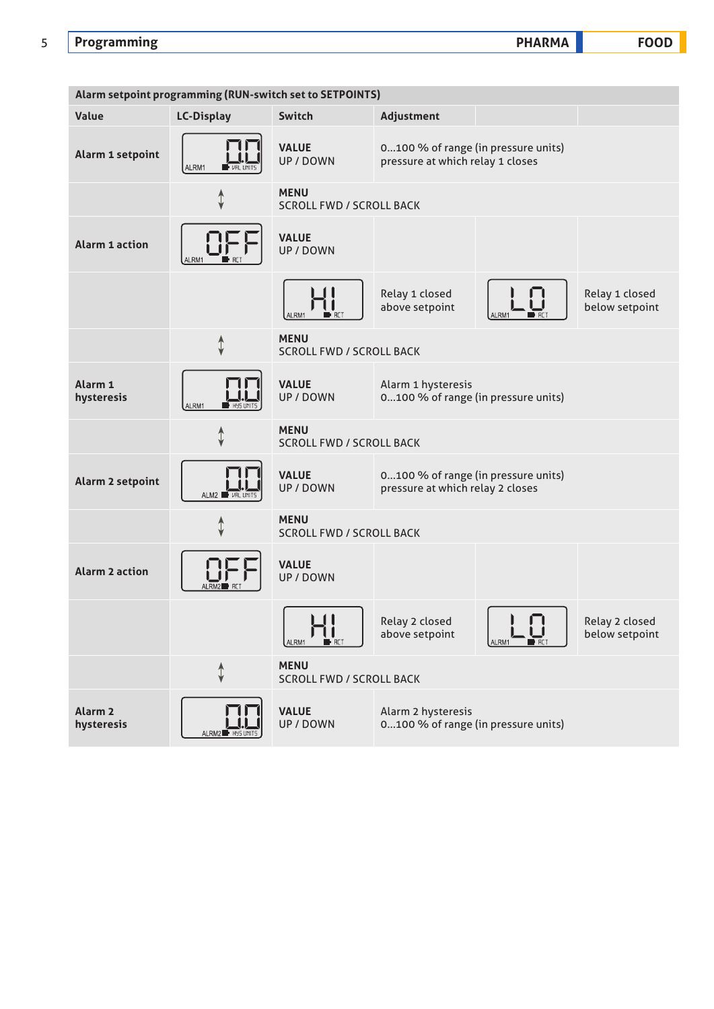# 5 **Programming PHARMA FOOD**

**Alarm setpoint programming (RUN-switch set to SETPOINTS) Value LC-Display Switch Adjustment Alarm 1 setpoint VALUE** 0...100 % of range (in pressure units) UP / DOWN pressure at which relay 1 closes ALRM1 **MENU** ↥ SCROLL FWD / SCROLL BACK **Alarm 1 action VALUE** UP / DOWN Relay 1 closed Relay 1 closed above setpoint below setpoint AL PM1 **MENU**  $\hat{t}$ SCROLL FWD / SCROLL BACK **Alarm 1 VALUE** Alarm 1 hysteresis UP / DOWN **hysteresis** 0...100 % of range (in pressure units) AI RM<sup>2</sup> **MENU** ↥ SCROLL FWD / SCROLL BACK **Alarm 2 setpoint VALUE** 0...100 % of range (in pressure units) UP / DOWN pressure at which relay 2 closes ALM2 $\blacksquare$ **MENU** 1 SCROLL FWD / SCROLL BACK **Alarm 2 action VALUE VALUE** UP / DOWN Relay 2 closed Relay 2 closed above setpoint below setpoint ALRM1 **MENU**  $\hat{\downarrow}$ SCROLL FWD / SCROLL BACK **Alarm 2 VALUE** Alarm 2 hysteresis UP / DOWN **hysteresis** 0...100 % of range (in pressure units)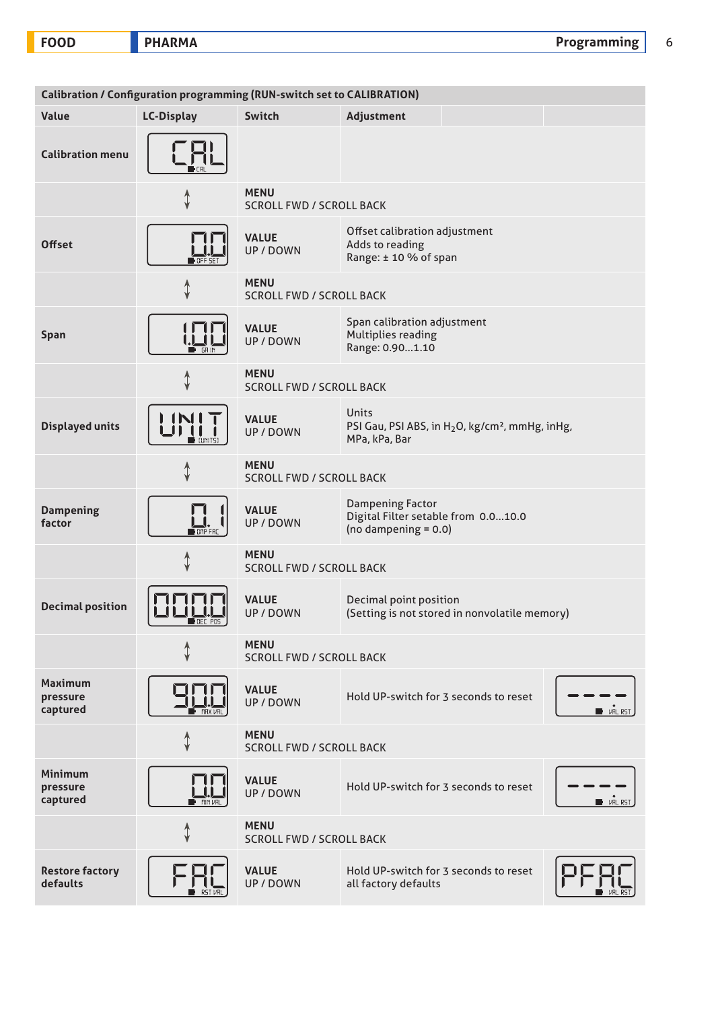|                                        | Calibration / Configuration programming (RUN-switch set to CALIBRATION) |                                                |                                                                                                   |                         |
|----------------------------------------|-------------------------------------------------------------------------|------------------------------------------------|---------------------------------------------------------------------------------------------------|-------------------------|
| Value                                  | <b>LC-Display</b>                                                       | Switch                                         | Adjustment                                                                                        |                         |
| <b>Calibration menu</b>                |                                                                         |                                                |                                                                                                   |                         |
|                                        |                                                                         | <b>MENU</b><br><b>SCROLL FWD / SCROLL BACK</b> |                                                                                                   |                         |
| <b>Offset</b>                          |                                                                         | <b>VALUE</b><br>UP / DOWN                      | Offset calibration adjustment<br>Adds to reading<br>Range: ± 10 % of span                         |                         |
|                                        | ⇕                                                                       | <b>MENU</b><br><b>SCROLL FWD / SCROLL BACK</b> |                                                                                                   |                         |
| Span                                   | - GR 11                                                                 | <b>VALUE</b><br>UP / DOWN                      | Span calibration adjustment<br>Multiplies reading<br>Range: 0.901.10                              |                         |
|                                        | ⇡                                                                       | <b>MENU</b><br><b>SCROLL FWD / SCROLL BACK</b> |                                                                                                   |                         |
| <b>Displayed units</b>                 |                                                                         | <b>VALUE</b><br><b>UP / DOWN</b>               | Units<br>PSI Gau, PSI ABS, in H <sub>2</sub> O, kg/cm <sup>2</sup> , mmHg, inHg,<br>MPa, kPa, Bar |                         |
|                                        | ⇡                                                                       | <b>MENU</b><br><b>SCROLL FWD / SCROLL BACK</b> |                                                                                                   |                         |
| <b>Dampening</b><br>factor             | $\blacksquare$ DMP FF                                                   | <b>VALUE</b><br>UP / DOWN                      | <b>Dampening Factor</b><br>Digital Filter setable from 0.010.0<br>(no dampening $= 0.0$ )         |                         |
|                                        | ↨                                                                       | <b>MENU</b><br><b>SCROLL FWD / SCROLL BACK</b> |                                                                                                   |                         |
| <b>Decimal position</b>                | ∎ SEC POS                                                               | <b>VALUE</b><br>UP / DOWN                      | Decimal point position<br>(Setting is not stored in nonvolatile memory)                           |                         |
|                                        | ↥                                                                       | <b>MENU</b><br><b>SCROLL FWD / SCROLL BACK</b> |                                                                                                   |                         |
| <b>Maximum</b><br>pressure<br>captured | <b>MAX VR</b>                                                           | <b>VALUE</b><br>UP / DOWN                      | Hold UP-switch for 3 seconds to reset                                                             | <b>D</b> VRL RST        |
|                                        | ↥                                                                       | <b>MENU</b><br><b>SCROLL FWD / SCROLL BACK</b> |                                                                                                   |                         |
| <b>Minimum</b><br>pressure<br>captured |                                                                         | <b>VALUE</b><br><b>UP/DOWN</b>                 | Hold UP-switch for 3 seconds to reset                                                             | <b>D</b> <i>VRL RST</i> |
|                                        | ⇕                                                                       | <b>MENU</b><br><b>SCROLL FWD / SCROLL BACK</b> |                                                                                                   |                         |
| <b>Restore factory</b><br>defaults     |                                                                         | <b>VALUE</b><br><b>UP / DOWN</b>               | Hold UP-switch for 3 seconds to reset<br>all factory defaults                                     |                         |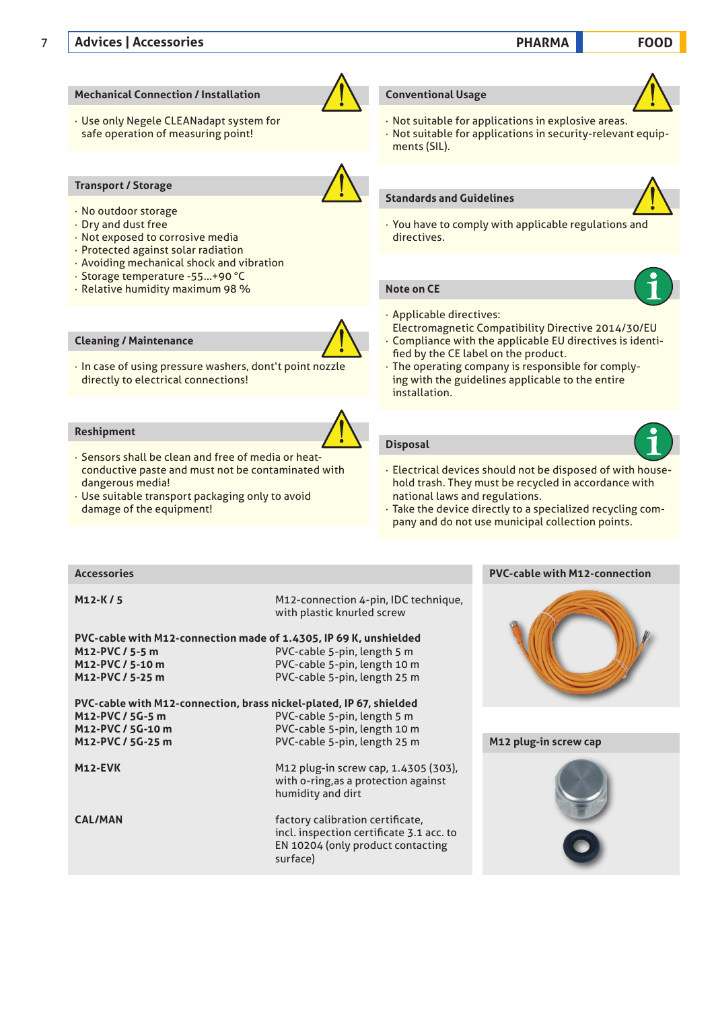# **Mechanical Connection / Installation**

· Use only Negele CLEANadapt system for safe operation of measuring point!

# **Transport / Storage**

- · No outdoor storage
- · Dry and dust free
- · Not exposed to corrosive media
- · Protected against solar radiation
- · Avoiding mechanical shock and vibration
- · Storage temperature -55...+90 °C
- · Relative humidity maximum 98 %

# **Cleaning / Maintenance**

· In case of using pressure washers, dont't point nozzle directly to electrical connections!

# **Reshipment**

- · Sensors shall be clean and free of media or heatconductive paste and must not be contaminated with dangerous media!
- · Use suitable transport packaging only to avoid damage of the equipment!

# **Conventional Usage**

· Not suitable for applications in explosive areas. · Not suitable for applications in security-relevant equipments (SIL).

### **Standards and Guidelines**



· You have to comply with applicable regulations and directives.

# **Note on CE**

- · Applicable directives:
- Electromagnetic Compatibility Directive 2014/30/EU
- · Compliance with the applicable EU directives is identified by the CE label on the product.
- · The operating company is responsible for complying with the guidelines applicable to the entire installation.

# **Disposal**

- · Electrical devices should not be disposed of with household trash. They must be recycled in accordance with national laws and regulations.
- · Take the device directly to a specialized recycling company and do not use municipal collection points.

# **Accessories PVC-cable with M12-connection**

**M12-K / 5** M12-connection 4-pin, IDC technique, with plastic knurled screw

# **PVC-cable with M12-connection made of 1.4305, IP 69 K, unshielded M12-PVC / 5-5 m** PVC-cable 5-pin, length 5 m **M12-PVC / 5-10 m**<br> **M12-PVC / 5-25 m**<br> **PVC-cable 5-pin. length 25 m**<br> **PVC-cable 5-pin. length 25 m M12-PVC / 5-25 m** PVC-cable 5-pin, length 25 m

**PVC-cable with M12-connection, brass nickel-plated, IP 67, shielded M12-PVC / 5G-5 m** PVC-cable 5-pin, length 5 m **M12-PVC / 5G-10 m** PVC-cable 5-pin, length 10 m

**M12-PVC / 5G-25 m** PVC-cable 5-pin, length 25 m

**M12-EVK** M12 plug-in screw cap, 1.4305 (303), with o-ring,as a protection against humidity and dirt

**CAL/MAN** factory calibration certificate, incl. inspection certificate 3.1 acc. to EN 10204 (only product contacting surface)



# **M12 plug-in screw cap**